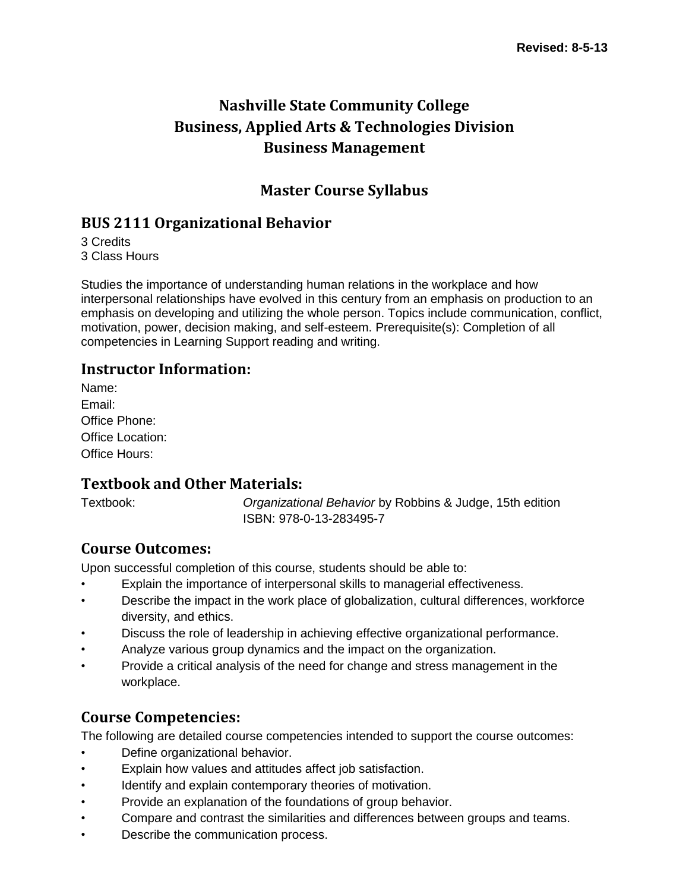# **Nashville State Community College Business, Applied Arts & Technologies Division Business Management**

## **Master Course Syllabus**

### **BUS 2111 Organizational Behavior**

3 Credits 3 Class Hours

Studies the importance of understanding human relations in the workplace and how interpersonal relationships have evolved in this century from an emphasis on production to an emphasis on developing and utilizing the whole person. Topics include communication, conflict, motivation, power, decision making, and self-esteem. Prerequisite(s): Completion of all competencies in Learning Support reading and writing.

### **Instructor Information:**

| Name:                |
|----------------------|
| Email:               |
| Office Phone:        |
| Office Location:     |
| <b>Office Hours:</b> |

### **Textbook and Other Materials:**

Textbook: *Organizational Behavior* by Robbins & Judge, 15th edition ISBN: 978-0-13-283495-7

### **Course Outcomes:**

Upon successful completion of this course, students should be able to:

- Explain the importance of interpersonal skills to managerial effectiveness.
- Describe the impact in the work place of globalization, cultural differences, workforce diversity, and ethics.
- Discuss the role of leadership in achieving effective organizational performance.
- Analyze various group dynamics and the impact on the organization.
- Provide a critical analysis of the need for change and stress management in the workplace.

## **Course Competencies:**

The following are detailed course competencies intended to support the course outcomes:

- Define organizational behavior.
- Explain how values and attitudes affect job satisfaction.
- Identify and explain contemporary theories of motivation.
- Provide an explanation of the foundations of group behavior.
- Compare and contrast the similarities and differences between groups and teams.
- Describe the communication process.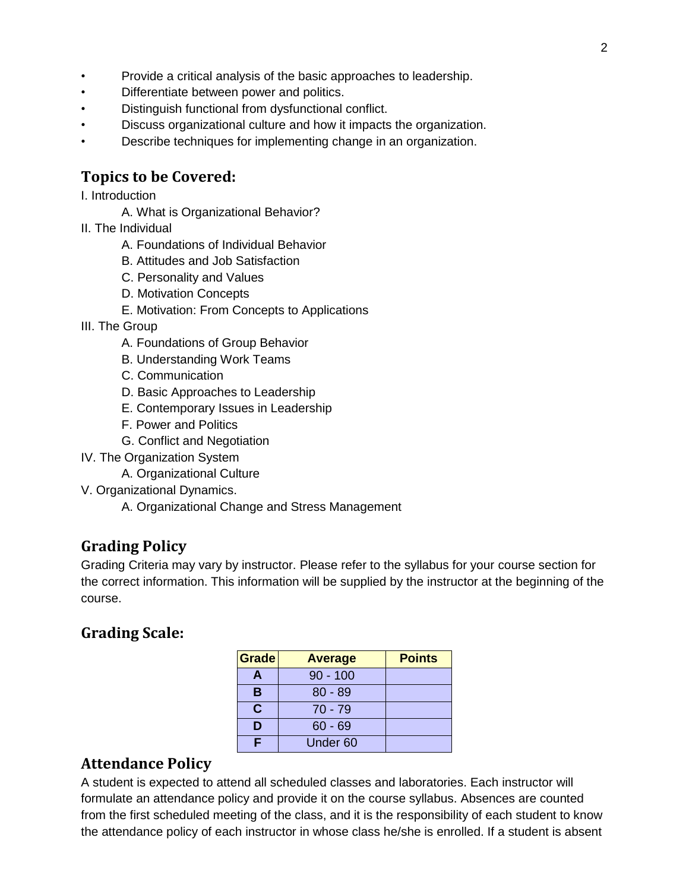- Provide a critical analysis of the basic approaches to leadership.
- Differentiate between power and politics.
- Distinguish functional from dysfunctional conflict.
- Discuss organizational culture and how it impacts the organization.
- Describe techniques for implementing change in an organization.

#### **Topics to be Covered:**

I. Introduction

A. What is Organizational Behavior?

- II. The Individual
	- A. Foundations of Individual Behavior
	- B. Attitudes and Job Satisfaction
	- C. Personality and Values
	- D. Motivation Concepts
	- E. Motivation: From Concepts to Applications
- III. The Group
	- A. Foundations of Group Behavior
	- B. Understanding Work Teams
	- C. Communication
	- D. Basic Approaches to Leadership
	- E. Contemporary Issues in Leadership
	- F. Power and Politics
	- G. Conflict and Negotiation
- IV. The Organization System
	- A. Organizational Culture
- V. Organizational Dynamics.
	- A. Organizational Change and Stress Management

### **Grading Policy**

Grading Criteria may vary by instructor. Please refer to the syllabus for your course section for the correct information. This information will be supplied by the instructor at the beginning of the course.

### **Grading Scale:**

| Grade | <b>Average</b> | <b>Points</b> |
|-------|----------------|---------------|
| А     | $90 - 100$     |               |
| В     | $80 - 89$      |               |
| C     | $70 - 79$      |               |
| D     | $60 - 69$      |               |
|       | Under 60       |               |

### **Attendance Policy**

A student is expected to attend all scheduled classes and laboratories. Each instructor will formulate an attendance policy and provide it on the course syllabus. Absences are counted from the first scheduled meeting of the class, and it is the responsibility of each student to know the attendance policy of each instructor in whose class he/she is enrolled. If a student is absent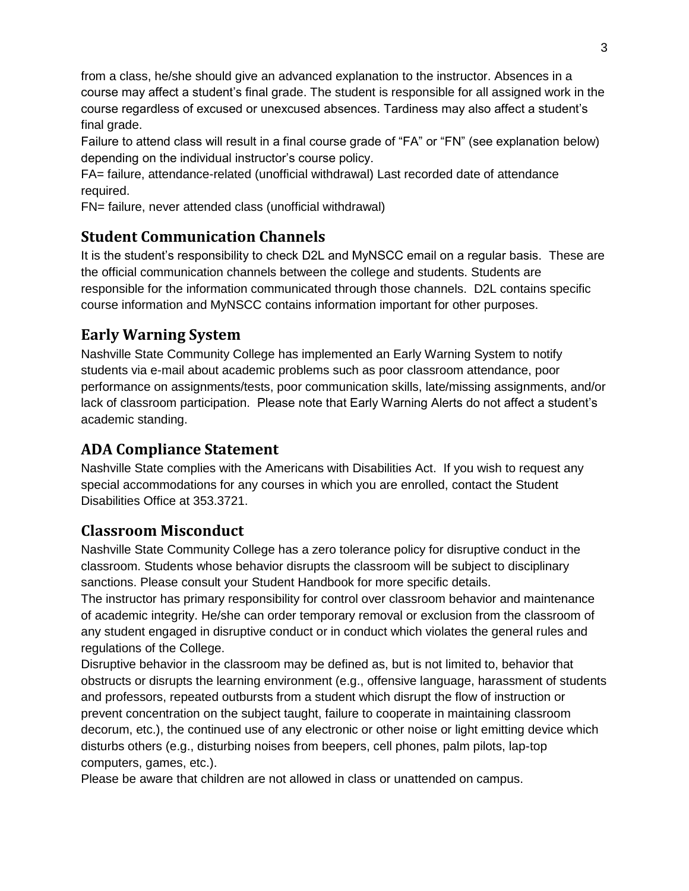from a class, he/she should give an advanced explanation to the instructor. Absences in a course may affect a student's final grade. The student is responsible for all assigned work in the course regardless of excused or unexcused absences. Tardiness may also affect a student's final grade.

Failure to attend class will result in a final course grade of "FA" or "FN" (see explanation below) depending on the individual instructor's course policy.

FA= failure, attendance-related (unofficial withdrawal) Last recorded date of attendance required.

FN= failure, never attended class (unofficial withdrawal)

## **Student Communication Channels**

It is the student's responsibility to check D2L and MyNSCC email on a regular basis. These are the official communication channels between the college and students. Students are responsible for the information communicated through those channels. D2L contains specific course information and MyNSCC contains information important for other purposes.

## **Early Warning System**

Nashville State Community College has implemented an Early Warning System to notify students via e-mail about academic problems such as poor classroom attendance, poor performance on assignments/tests, poor communication skills, late/missing assignments, and/or lack of classroom participation. Please note that Early Warning Alerts do not affect a student's academic standing.

### **ADA Compliance Statement**

Nashville State complies with the Americans with Disabilities Act. If you wish to request any special accommodations for any courses in which you are enrolled, contact the Student Disabilities Office at 353.3721.

## **Classroom Misconduct**

Nashville State Community College has a zero tolerance policy for disruptive conduct in the classroom. Students whose behavior disrupts the classroom will be subject to disciplinary sanctions. Please consult your Student Handbook for more specific details.

The instructor has primary responsibility for control over classroom behavior and maintenance of academic integrity. He/she can order temporary removal or exclusion from the classroom of any student engaged in disruptive conduct or in conduct which violates the general rules and regulations of the College.

Disruptive behavior in the classroom may be defined as, but is not limited to, behavior that obstructs or disrupts the learning environment (e.g., offensive language, harassment of students and professors, repeated outbursts from a student which disrupt the flow of instruction or prevent concentration on the subject taught, failure to cooperate in maintaining classroom decorum, etc.), the continued use of any electronic or other noise or light emitting device which disturbs others (e.g., disturbing noises from beepers, cell phones, palm pilots, lap-top computers, games, etc.).

Please be aware that children are not allowed in class or unattended on campus.